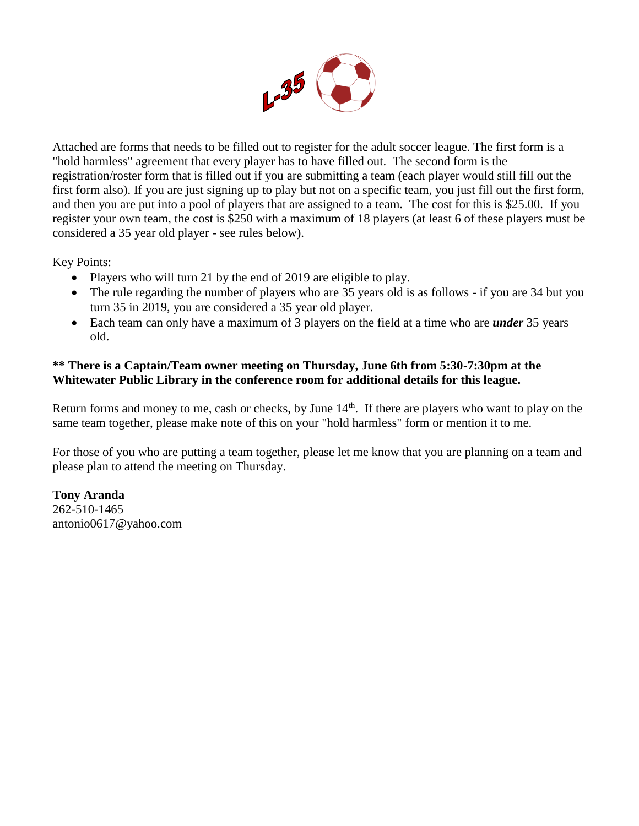

Attached are forms that needs to be filled out to register for the adult soccer league. The first form is a "hold harmless" agreement that every player has to have filled out. The second form is the registration/roster form that is filled out if you are submitting a team (each player would still fill out the first form also). If you are just signing up to play but not on a specific team, you just fill out the first form, and then you are put into a pool of players that are assigned to a team. The cost for this is \$25.00. If you register your own team, the cost is \$250 with a maximum of 18 players (at least 6 of these players must be considered a 35 year old player - see rules below).

Key Points:

- Players who will turn 21 by the end of 2019 are eligible to play.
- The rule regarding the number of players who are 35 years old is as follows if you are 34 but you turn 35 in 2019, you are considered a 35 year old player.
- Each team can only have a maximum of 3 players on the field at a time who are *under* 35 years old.

## **\*\* There is a Captain/Team owner meeting on Thursday, June 6th from 5:30-7:30pm at the Whitewater Public Library in the conference room for additional details for this league.**

Return forms and money to me, cash or checks, by June  $14<sup>th</sup>$ . If there are players who want to play on the same team together, please make note of this on your "hold harmless" form or mention it to me.

For those of you who are putting a team together, please let me know that you are planning on a team and please plan to attend the meeting on Thursday.

**Tony Aranda** 262-510-1465 antonio0617@yahoo.com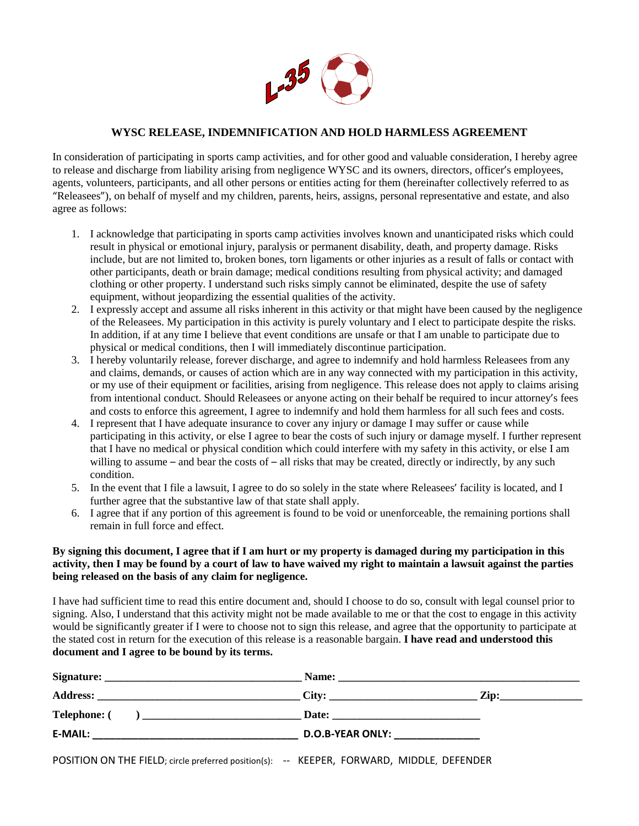

## **WYSC RELEASE, INDEMNIFICATION AND HOLD HARMLESS AGREEMENT**

In consideration of participating in sports camp activities, and for other good and valuable consideration, I hereby agree to release and discharge from liability arising from negligence WYSC and its owners, directors, officer's employees, agents, volunteers, participants, and all other persons or entities acting for them (hereinafter collectively referred to as "Releasees"), on behalf of myself and my children, parents, heirs, assigns, personal representative and estate, and also agree as follows:

- 1. I acknowledge that participating in sports camp activities involves known and unanticipated risks which could result in physical or emotional injury, paralysis or permanent disability, death, and property damage. Risks include, but are not limited to, broken bones, torn ligaments or other injuries as a result of falls or contact with other participants, death or brain damage; medical conditions resulting from physical activity; and damaged clothing or other property. I understand such risks simply cannot be eliminated, despite the use of safety equipment, without jeopardizing the essential qualities of the activity.
- 2. I expressly accept and assume all risks inherent in this activity or that might have been caused by the negligence of the Releasees. My participation in this activity is purely voluntary and I elect to participate despite the risks. In addition, if at any time I believe that event conditions are unsafe or that I am unable to participate due to physical or medical conditions, then I will immediately discontinue participation.
- 3. I hereby voluntarily release, forever discharge, and agree to indemnify and hold harmless Releasees from any and claims, demands, or causes of action which are in any way connected with my participation in this activity, or my use of their equipment or facilities, arising from negligence. This release does not apply to claims arising from intentional conduct. Should Releasees or anyone acting on their behalf be required to incur attorney's fees and costs to enforce this agreement, I agree to indemnify and hold them harmless for all such fees and costs.
- 4. I represent that I have adequate insurance to cover any injury or damage I may suffer or cause while participating in this activity, or else I agree to bear the costs of such injury or damage myself. I further represent that I have no medical or physical condition which could interfere with my safety in this activity, or else I am willing to assume – and bear the costs of – all risks that may be created, directly or indirectly, by any such condition.
- 5. In the event that I file a lawsuit, I agree to do so solely in the state where Releasees' facility is located, and I further agree that the substantive law of that state shall apply.
- 6. I agree that if any portion of this agreement is found to be void or unenforceable, the remaining portions shall remain in full force and effect.

## **By signing this document, I agree that if I am hurt or my property is damaged during my participation in this activity, then I may be found by a court of law to have waived my right to maintain a lawsuit against the parties being released on the basis of any claim for negligence.**

I have had sufficient time to read this entire document and, should I choose to do so, consult with legal counsel prior to signing. Also, I understand that this activity might not be made available to me or that the cost to engage in this activity would be significantly greater if I were to choose not to sign this release, and agree that the opportunity to participate at the stated cost in return for the execution of this release is a reasonable bargain. **I have read and understood this document and I agree to be bound by its terms.**

|                                                                                           | $\overline{\phantom{a}}$ Zip:            |  |
|-------------------------------------------------------------------------------------------|------------------------------------------|--|
|                                                                                           |                                          |  |
|                                                                                           | <b>D.O.B-YEAR ONLY:</b> ________________ |  |
| POSITION ON THE FIELD; circle preferred position(s): -- KEEPER, FORWARD, MIDDLE, DEFENDER |                                          |  |